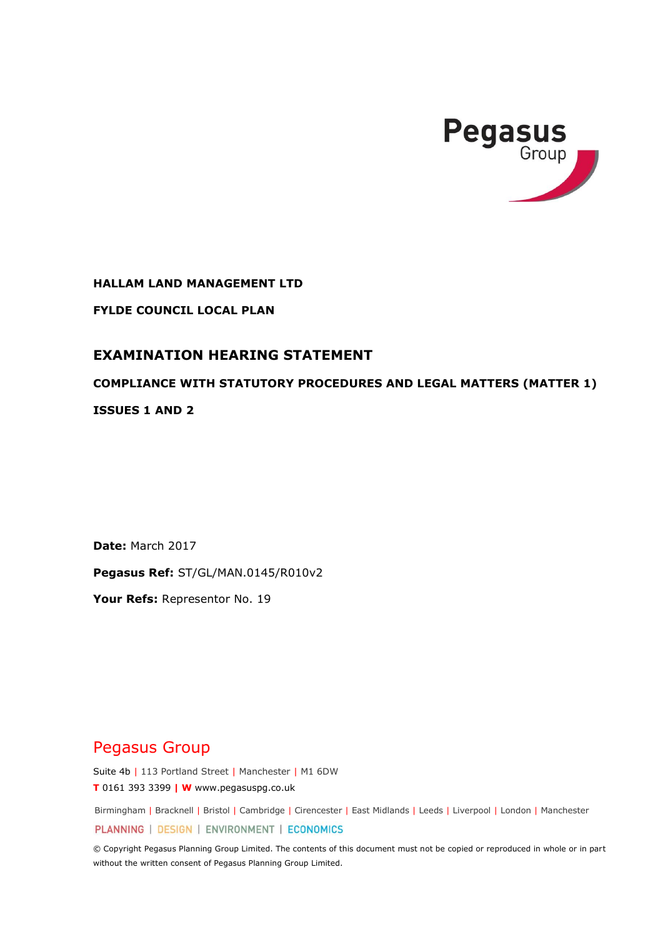

**HALLAM LAND MANAGEMENT LTD**

**FYLDE COUNCIL LOCAL PLAN**

# **EXAMINATION HEARING STATEMENT**

# **COMPLIANCE WITH STATUTORY PROCEDURES AND LEGAL MATTERS (MATTER 1)**

**ISSUES 1 AND 2**

**Date:** March 2017

**Pegasus Ref:** ST/GL/MAN.0145/R010v2

**Your Refs:** Representor No. 19

# Pegasus Group

Suite 4b | 113 Portland Street | Manchester | M1 6DW **T** 0161 393 3399 **| W** www.pegasuspg.co.uk

Birmingham | Bracknell | Bristol | Cambridge | Cirencester | East Midlands | Leeds | Liverpool | London | Manchester

PLANNING | DESIGN | ENVIRONMENT | ECONOMICS

© Copyright Pegasus Planning Group Limited. The contents of this document must not be copied or reproduced in whole or in part without the written consent of Pegasus Planning Group Limited.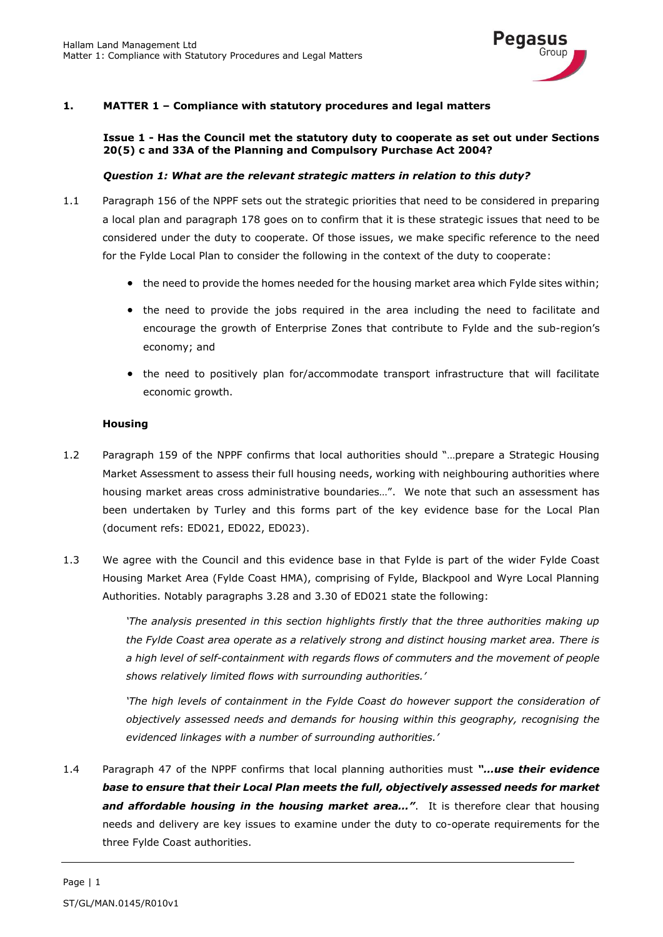

# **1. MATTER 1 – Compliance with statutory procedures and legal matters**

#### **Issue 1 - Has the Council met the statutory duty to cooperate as set out under Sections 20(5) c and 33A of the Planning and Compulsory Purchase Act 2004?**

#### *Question 1: What are the relevant strategic matters in relation to this duty?*

- 1.1 Paragraph 156 of the NPPF sets out the strategic priorities that need to be considered in preparing a local plan and paragraph 178 goes on to confirm that it is these strategic issues that need to be considered under the duty to cooperate. Of those issues, we make specific reference to the need for the Fylde Local Plan to consider the following in the context of the duty to cooperate:
	- the need to provide the homes needed for the housing market area which Fylde sites within;
	- the need to provide the jobs required in the area including the need to facilitate and encourage the growth of Enterprise Zones that contribute to Fylde and the sub-region's economy; and
	- the need to positively plan for/accommodate transport infrastructure that will facilitate economic growth.

#### **Housing**

- 1.2 Paragraph 159 of the NPPF confirms that local authorities should "…prepare a Strategic Housing Market Assessment to assess their full housing needs, working with neighbouring authorities where housing market areas cross administrative boundaries…". We note that such an assessment has been undertaken by Turley and this forms part of the key evidence base for the Local Plan (document refs: ED021, ED022, ED023).
- 1.3 We agree with the Council and this evidence base in that Fylde is part of the wider Fylde Coast Housing Market Area (Fylde Coast HMA), comprising of Fylde, Blackpool and Wyre Local Planning Authorities. Notably paragraphs 3.28 and 3.30 of ED021 state the following:

*'The analysis presented in this section highlights firstly that the three authorities making up the Fylde Coast area operate as a relatively strong and distinct housing market area. There is a high level of self-containment with regards flows of commuters and the movement of people shows relatively limited flows with surrounding authorities.'* 

*'The high levels of containment in the Fylde Coast do however support the consideration of objectively assessed needs and demands for housing within this geography, recognising the evidenced linkages with a number of surrounding authorities.'*

1.4 Paragraph 47 of the NPPF confirms that local planning authorities must *"…use their evidence base to ensure that their Local Plan meets the full, objectively assessed needs for market*  and affordable housing in the housing market area...". It is therefore clear that housing needs and delivery are key issues to examine under the duty to co-operate requirements for the three Fylde Coast authorities.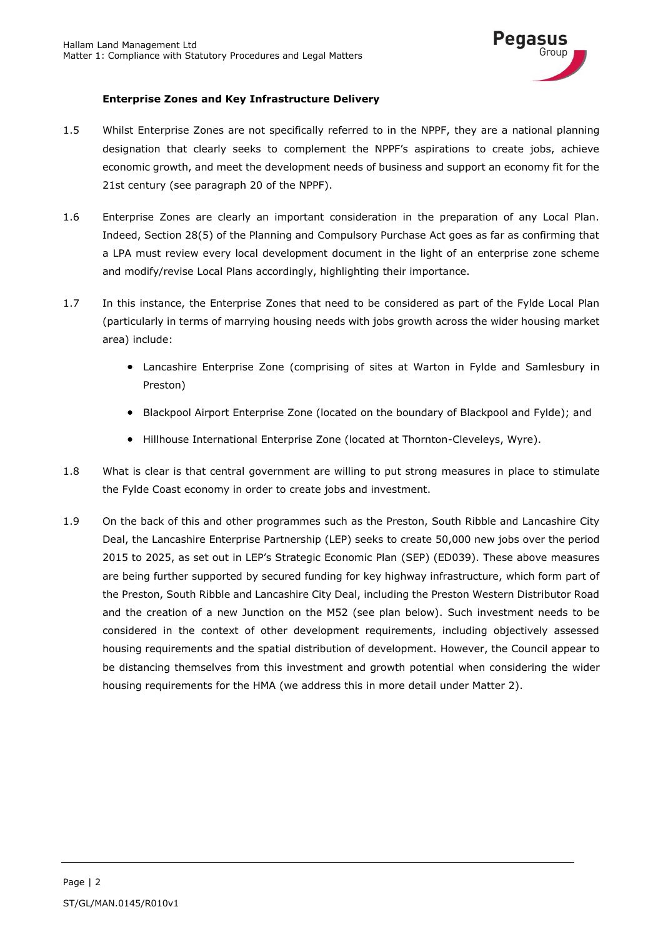

# **Enterprise Zones and Key Infrastructure Delivery**

- 1.5 Whilst Enterprise Zones are not specifically referred to in the NPPF, they are a national planning designation that clearly seeks to complement the NPPF's aspirations to create jobs, achieve economic growth, and meet the development needs of business and support an economy fit for the 21st century (see paragraph 20 of the NPPF).
- 1.6 Enterprise Zones are clearly an important consideration in the preparation of any Local Plan. Indeed, Section 28(5) of the Planning and Compulsory Purchase Act goes as far as confirming that a LPA must review every local development document in the light of an enterprise zone scheme and modify/revise Local Plans accordingly, highlighting their importance.
- 1.7 In this instance, the Enterprise Zones that need to be considered as part of the Fylde Local Plan (particularly in terms of marrying housing needs with jobs growth across the wider housing market area) include:
	- Lancashire Enterprise Zone (comprising of sites at Warton in Fylde and Samlesbury in Preston)
	- Blackpool Airport Enterprise Zone (located on the boundary of Blackpool and Fylde); and
	- Hillhouse International Enterprise Zone (located at Thornton-Cleveleys, Wyre).
- 1.8 What is clear is that central government are willing to put strong measures in place to stimulate the Fylde Coast economy in order to create jobs and investment.
- 1.9 On the back of this and other programmes such as the Preston, South Ribble and Lancashire City Deal, the Lancashire Enterprise Partnership (LEP) seeks to create 50,000 new jobs over the period 2015 to 2025, as set out in LEP's Strategic Economic Plan (SEP) (ED039). These above measures are being further supported by secured funding for key highway infrastructure, which form part of the Preston, South Ribble and Lancashire City Deal, including the Preston Western Distributor Road and the creation of a new Junction on the M52 (see plan below). Such investment needs to be considered in the context of other development requirements, including objectively assessed housing requirements and the spatial distribution of development. However, the Council appear to be distancing themselves from this investment and growth potential when considering the wider housing requirements for the HMA (we address this in more detail under Matter 2).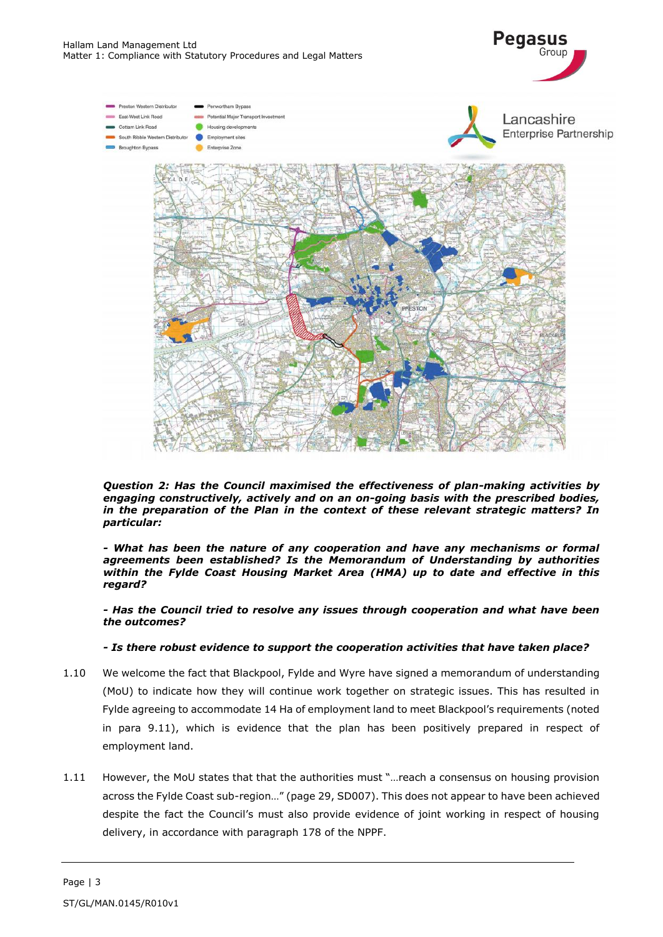

**Pegasus** 

*Question 2: Has the Council maximised the effectiveness of plan-making activities by engaging constructively, actively and on an on-going basis with the prescribed bodies, in the preparation of the Plan in the context of these relevant strategic matters? In particular:*

*- What has been the nature of any cooperation and have any mechanisms or formal agreements been established? Is the Memorandum of Understanding by authorities within the Fylde Coast Housing Market Area (HMA) up to date and effective in this regard?* 

*- Has the Council tried to resolve any issues through cooperation and what have been the outcomes?*

### *- Is there robust evidence to support the cooperation activities that have taken place?*

- 1.10 We welcome the fact that Blackpool, Fylde and Wyre have signed a memorandum of understanding (MoU) to indicate how they will continue work together on strategic issues. This has resulted in Fylde agreeing to accommodate 14 Ha of employment land to meet Blackpool's requirements (noted in para 9.11), which is evidence that the plan has been positively prepared in respect of employment land.
- 1.11 However, the MoU states that that the authorities must "…reach a consensus on housing provision across the Fylde Coast sub-region…" (page 29, SD007). This does not appear to have been achieved despite the fact the Council's must also provide evidence of joint working in respect of housing delivery, in accordance with paragraph 178 of the NPPF.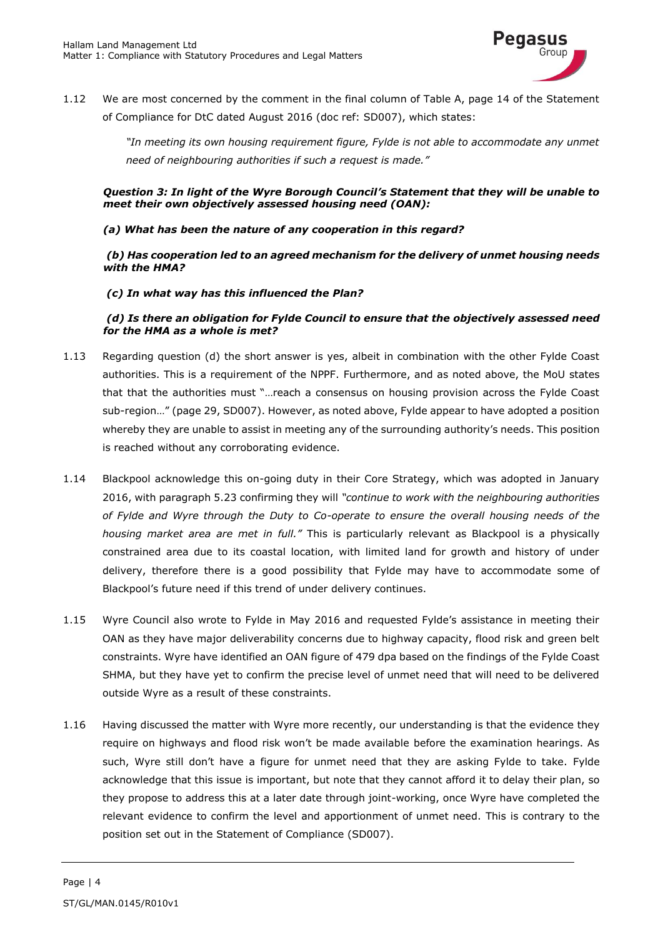

1.12 We are most concerned by the comment in the final column of Table A, page 14 of the Statement of Compliance for DtC dated August 2016 (doc ref: SD007), which states:

> *"In meeting its own housing requirement figure, Fylde is not able to accommodate any unmet need of neighbouring authorities if such a request is made."*

*Question 3: In light of the Wyre Borough Council's Statement that they will be unable to meet their own objectively assessed housing need (OAN):*

### *(a) What has been the nature of any cooperation in this regard?*

*(b) Has cooperation led to an agreed mechanism for the delivery of unmet housing needs with the HMA?*

#### *(c) In what way has this influenced the Plan?*

# *(d) Is there an obligation for Fylde Council to ensure that the objectively assessed need for the HMA as a whole is met?*

- 1.13 Regarding question (d) the short answer is yes, albeit in combination with the other Fylde Coast authorities. This is a requirement of the NPPF. Furthermore, and as noted above, the MoU states that that the authorities must "…reach a consensus on housing provision across the Fylde Coast sub-region…" (page 29, SD007). However, as noted above, Fylde appear to have adopted a position whereby they are unable to assist in meeting any of the surrounding authority's needs. This position is reached without any corroborating evidence.
- 1.14 Blackpool acknowledge this on-going duty in their Core Strategy, which was adopted in January 2016, with paragraph 5.23 confirming they will *"continue to work with the neighbouring authorities of Fylde and Wyre through the Duty to Co-operate to ensure the overall housing needs of the housing market area are met in full."* This is particularly relevant as Blackpool is a physically constrained area due to its coastal location, with limited land for growth and history of under delivery, therefore there is a good possibility that Fylde may have to accommodate some of Blackpool's future need if this trend of under delivery continues.
- 1.15 Wyre Council also wrote to Fylde in May 2016 and requested Fylde's assistance in meeting their OAN as they have major deliverability concerns due to highway capacity, flood risk and green belt constraints. Wyre have identified an OAN figure of 479 dpa based on the findings of the Fylde Coast SHMA, but they have yet to confirm the precise level of unmet need that will need to be delivered outside Wyre as a result of these constraints.
- 1.16 Having discussed the matter with Wyre more recently, our understanding is that the evidence they require on highways and flood risk won't be made available before the examination hearings. As such, Wyre still don't have a figure for unmet need that they are asking Fylde to take. Fylde acknowledge that this issue is important, but note that they cannot afford it to delay their plan, so they propose to address this at a later date through joint-working, once Wyre have completed the relevant evidence to confirm the level and apportionment of unmet need. This is contrary to the position set out in the Statement of Compliance (SD007).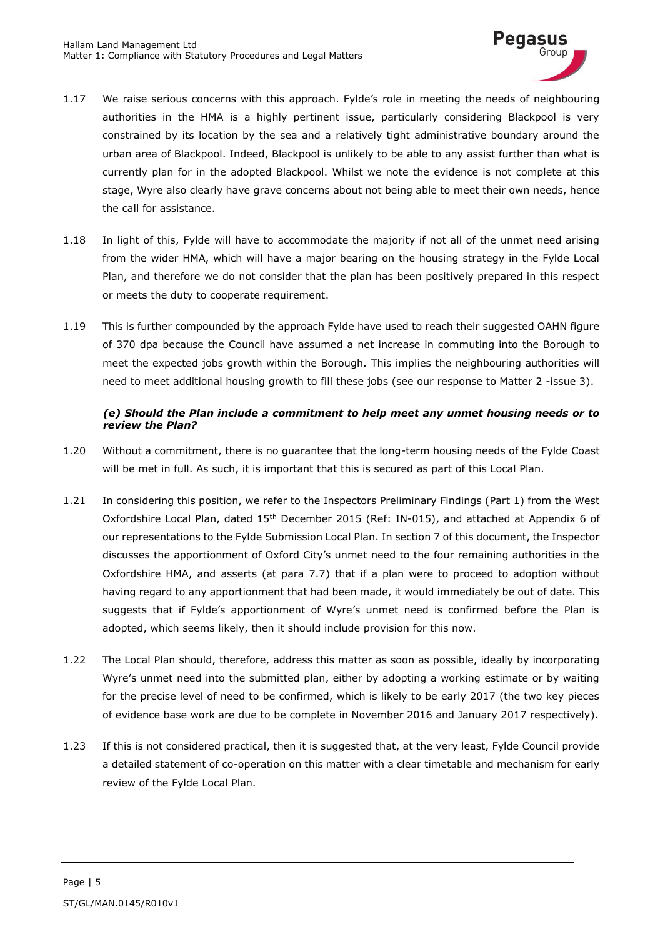

- 1.17 We raise serious concerns with this approach. Fylde's role in meeting the needs of neighbouring authorities in the HMA is a highly pertinent issue, particularly considering Blackpool is very constrained by its location by the sea and a relatively tight administrative boundary around the urban area of Blackpool. Indeed, Blackpool is unlikely to be able to any assist further than what is currently plan for in the adopted Blackpool. Whilst we note the evidence is not complete at this stage, Wyre also clearly have grave concerns about not being able to meet their own needs, hence the call for assistance.
- 1.18 In light of this, Fylde will have to accommodate the majority if not all of the unmet need arising from the wider HMA, which will have a major bearing on the housing strategy in the Fylde Local Plan, and therefore we do not consider that the plan has been positively prepared in this respect or meets the duty to cooperate requirement.
- 1.19 This is further compounded by the approach Fylde have used to reach their suggested OAHN figure of 370 dpa because the Council have assumed a net increase in commuting into the Borough to meet the expected jobs growth within the Borough. This implies the neighbouring authorities will need to meet additional housing growth to fill these jobs (see our response to Matter 2 -issue 3).

# *(e) Should the Plan include a commitment to help meet any unmet housing needs or to review the Plan?*

- 1.20 Without a commitment, there is no guarantee that the long-term housing needs of the Fylde Coast will be met in full. As such, it is important that this is secured as part of this Local Plan.
- 1.21 In considering this position, we refer to the Inspectors Preliminary Findings (Part 1) from the West Oxfordshire Local Plan, dated 15<sup>th</sup> December 2015 (Ref: IN-015), and attached at Appendix 6 of our representations to the Fylde Submission Local Plan. In section 7 of this document, the Inspector discusses the apportionment of Oxford City's unmet need to the four remaining authorities in the Oxfordshire HMA, and asserts (at para 7.7) that if a plan were to proceed to adoption without having regard to any apportionment that had been made, it would immediately be out of date. This suggests that if Fylde's apportionment of Wyre's unmet need is confirmed before the Plan is adopted, which seems likely, then it should include provision for this now.
- 1.22 The Local Plan should, therefore, address this matter as soon as possible, ideally by incorporating Wyre's unmet need into the submitted plan, either by adopting a working estimate or by waiting for the precise level of need to be confirmed, which is likely to be early 2017 (the two key pieces of evidence base work are due to be complete in November 2016 and January 2017 respectively).
- 1.23 If this is not considered practical, then it is suggested that, at the very least, Fylde Council provide a detailed statement of co-operation on this matter with a clear timetable and mechanism for early review of the Fylde Local Plan.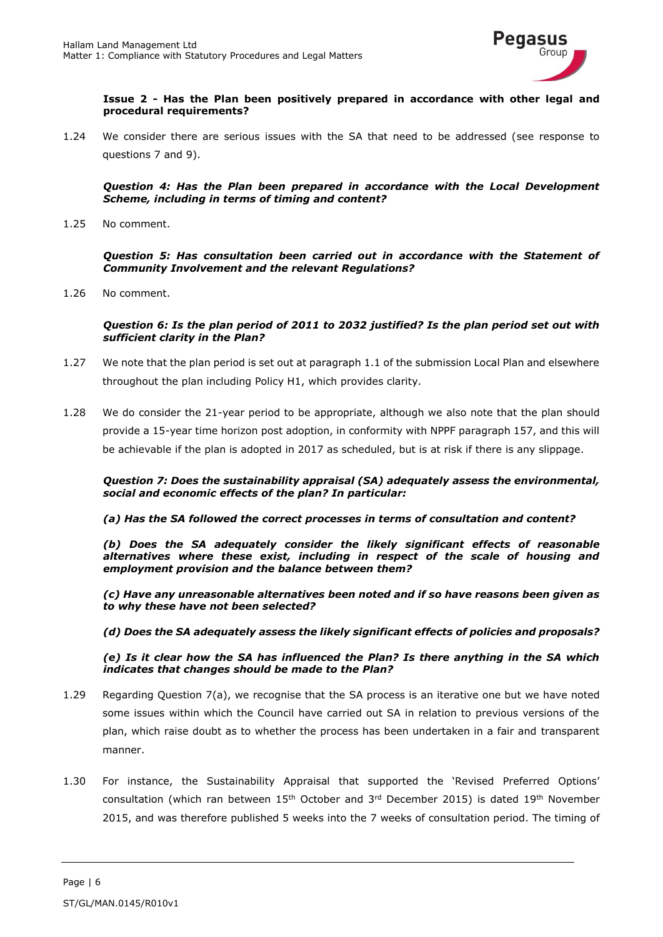

**Issue 2 - Has the Plan been positively prepared in accordance with other legal and procedural requirements?**

1.24 We consider there are serious issues with the SA that need to be addressed (see response to questions 7 and 9).

*Question 4: Has the Plan been prepared in accordance with the Local Development Scheme, including in terms of timing and content?*

1.25 No comment.

*Question 5: Has consultation been carried out in accordance with the Statement of Community Involvement and the relevant Regulations?*

1.26 No comment.

#### *Question 6: Is the plan period of 2011 to 2032 justified? Is the plan period set out with sufficient clarity in the Plan?*

- 1.27 We note that the plan period is set out at paragraph 1.1 of the submission Local Plan and elsewhere throughout the plan including Policy H1, which provides clarity.
- 1.28 We do consider the 21-year period to be appropriate, although we also note that the plan should provide a 15-year time horizon post adoption, in conformity with NPPF paragraph 157, and this will be achievable if the plan is adopted in 2017 as scheduled, but is at risk if there is any slippage.

*Question 7: Does the sustainability appraisal (SA) adequately assess the environmental, social and economic effects of the plan? In particular:*

*(a) Has the SA followed the correct processes in terms of consultation and content?* 

*(b) Does the SA adequately consider the likely significant effects of reasonable alternatives where these exist, including in respect of the scale of housing and employment provision and the balance between them?*

*(c) Have any unreasonable alternatives been noted and if so have reasons been given as to why these have not been selected?* 

*(d) Does the SA adequately assess the likely significant effects of policies and proposals?* 

*(e) Is it clear how the SA has influenced the Plan? Is there anything in the SA which indicates that changes should be made to the Plan?*

- 1.29 Regarding Question 7(a), we recognise that the SA process is an iterative one but we have noted some issues within which the Council have carried out SA in relation to previous versions of the plan, which raise doubt as to whether the process has been undertaken in a fair and transparent manner.
- 1.30 For instance, the Sustainability Appraisal that supported the 'Revised Preferred Options' consultation (which ran between  $15<sup>th</sup>$  October and  $3<sup>rd</sup>$  December 2015) is dated  $19<sup>th</sup>$  November 2015, and was therefore published 5 weeks into the 7 weeks of consultation period. The timing of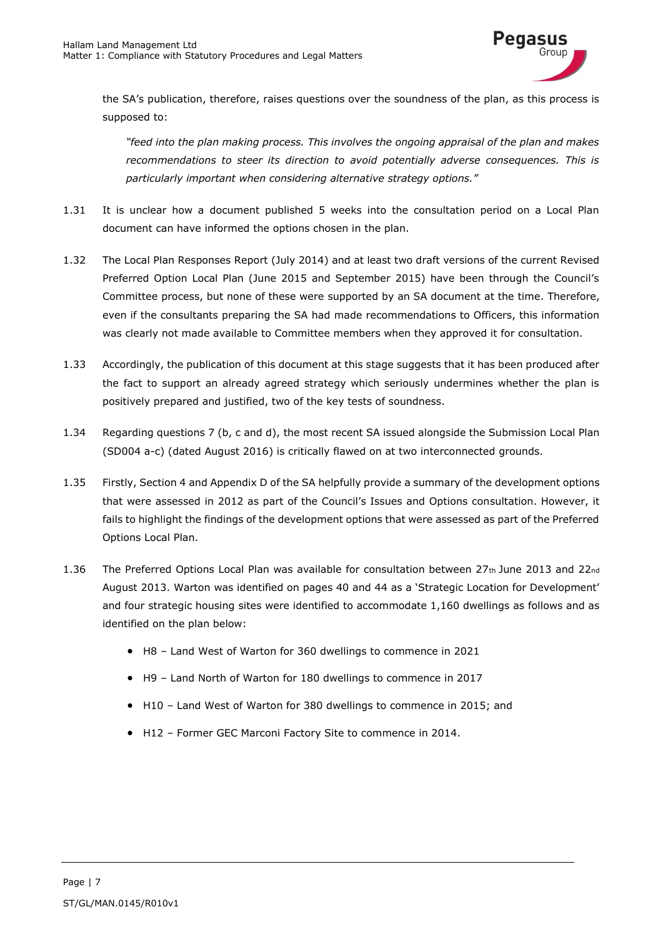

the SA's publication, therefore, raises questions over the soundness of the plan, as this process is supposed to:

*"feed into the plan making process. This involves the ongoing appraisal of the plan and makes recommendations to steer its direction to avoid potentially adverse consequences. This is particularly important when considering alternative strategy options."*

- 1.31 It is unclear how a document published 5 weeks into the consultation period on a Local Plan document can have informed the options chosen in the plan.
- 1.32 The Local Plan Responses Report (July 2014) and at least two draft versions of the current Revised Preferred Option Local Plan (June 2015 and September 2015) have been through the Council's Committee process, but none of these were supported by an SA document at the time. Therefore, even if the consultants preparing the SA had made recommendations to Officers, this information was clearly not made available to Committee members when they approved it for consultation.
- 1.33 Accordingly, the publication of this document at this stage suggests that it has been produced after the fact to support an already agreed strategy which seriously undermines whether the plan is positively prepared and justified, two of the key tests of soundness.
- 1.34 Regarding questions 7 (b, c and d), the most recent SA issued alongside the Submission Local Plan (SD004 a-c) (dated August 2016) is critically flawed on at two interconnected grounds.
- 1.35 Firstly, Section 4 and Appendix D of the SA helpfully provide a summary of the development options that were assessed in 2012 as part of the Council's Issues and Options consultation. However, it fails to highlight the findings of the development options that were assessed as part of the Preferred Options Local Plan.
- 1.36 The Preferred Options Local Plan was available for consultation between 27th June 2013 and 22nd August 2013. Warton was identified on pages 40 and 44 as a 'Strategic Location for Development' and four strategic housing sites were identified to accommodate 1,160 dwellings as follows and as identified on the plan below:
	- H8 Land West of Warton for 360 dwellings to commence in 2021
	- H9 Land North of Warton for 180 dwellings to commence in 2017
	- H10 Land West of Warton for 380 dwellings to commence in 2015; and
	- H12 Former GEC Marconi Factory Site to commence in 2014.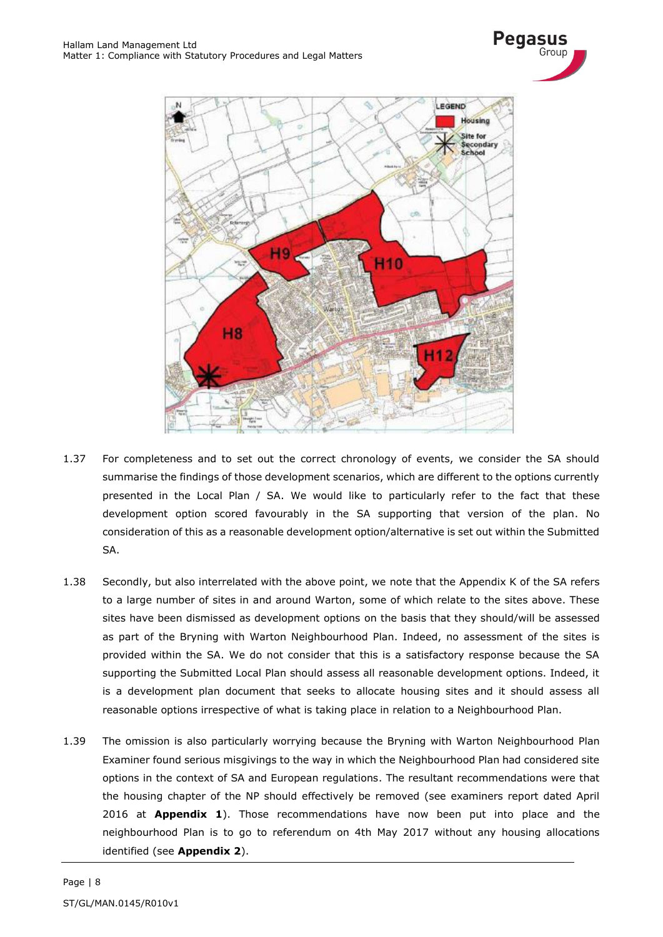



- 1.37 For completeness and to set out the correct chronology of events, we consider the SA should summarise the findings of those development scenarios, which are different to the options currently presented in the Local Plan / SA. We would like to particularly refer to the fact that these development option scored favourably in the SA supporting that version of the plan. No consideration of this as a reasonable development option/alternative is set out within the Submitted SA.
- 1.38 Secondly, but also interrelated with the above point, we note that the Appendix K of the SA refers to a large number of sites in and around Warton, some of which relate to the sites above. These sites have been dismissed as development options on the basis that they should/will be assessed as part of the Bryning with Warton Neighbourhood Plan. Indeed, no assessment of the sites is provided within the SA. We do not consider that this is a satisfactory response because the SA supporting the Submitted Local Plan should assess all reasonable development options. Indeed, it is a development plan document that seeks to allocate housing sites and it should assess all reasonable options irrespective of what is taking place in relation to a Neighbourhood Plan.
- 1.39 The omission is also particularly worrying because the Bryning with Warton Neighbourhood Plan Examiner found serious misgivings to the way in which the Neighbourhood Plan had considered site options in the context of SA and European regulations. The resultant recommendations were that the housing chapter of the NP should effectively be removed (see examiners report dated April 2016 at **Appendix 1**). Those recommendations have now been put into place and the neighbourhood Plan is to go to referendum on 4th May 2017 without any housing allocations identified (see **Appendix 2**).